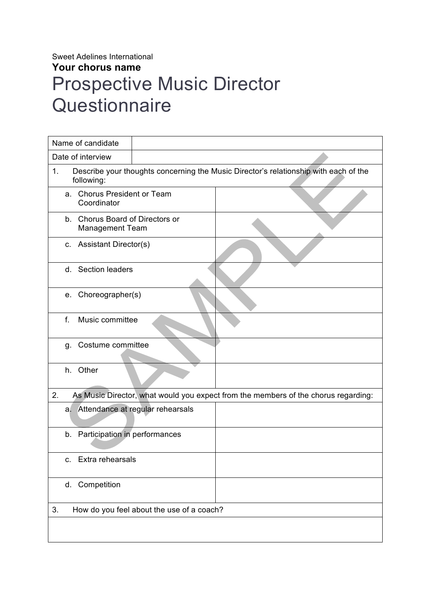## Sweet Adelines International **Your chorus name** Prospective Music Director **Questionnaire**

| Name of candidate                                                                                        |                                  |  |  |  |  |  |  |
|----------------------------------------------------------------------------------------------------------|----------------------------------|--|--|--|--|--|--|
| Date of interview                                                                                        |                                  |  |  |  |  |  |  |
| Describe your thoughts concerning the Music Director's relationship with each of the<br>1.<br>following: |                                  |  |  |  |  |  |  |
| <b>Chorus President or Team</b><br>a.<br>Coordinator                                                     |                                  |  |  |  |  |  |  |
| b. Chorus Board of Directors or<br><b>Management Team</b>                                                |                                  |  |  |  |  |  |  |
| c. Assistant Director(s)                                                                                 |                                  |  |  |  |  |  |  |
| d. Section leaders                                                                                       |                                  |  |  |  |  |  |  |
| e. Choreographer(s)                                                                                      |                                  |  |  |  |  |  |  |
| f.<br>Music committee                                                                                    |                                  |  |  |  |  |  |  |
| g. Costume committee                                                                                     |                                  |  |  |  |  |  |  |
| Other<br>h.                                                                                              |                                  |  |  |  |  |  |  |
| 2.<br>As Music Director, what would you expect from the members of the chorus regarding:                 |                                  |  |  |  |  |  |  |
| a.                                                                                                       | Attendance at regular rehearsals |  |  |  |  |  |  |
| Participation in performances<br>b.                                                                      |                                  |  |  |  |  |  |  |
| Extra rehearsals<br>C.                                                                                   |                                  |  |  |  |  |  |  |
| d. Competition                                                                                           |                                  |  |  |  |  |  |  |
| 3.<br>How do you feel about the use of a coach?                                                          |                                  |  |  |  |  |  |  |
|                                                                                                          |                                  |  |  |  |  |  |  |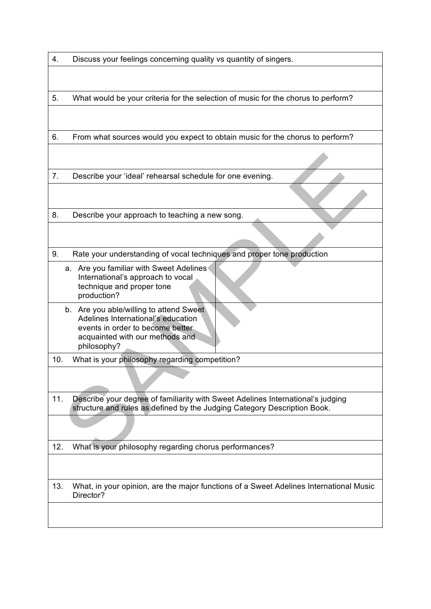| 4. | Discuss your feelings concerning quality vs quantity of singers. |  |  |
|----|------------------------------------------------------------------|--|--|
|    |                                                                  |  |  |

5. What would be your criteria for the selection of music for the chorus to perform?

6. From what sources would you expect to obtain music for the chorus to perform?

7. Describe your 'ideal' rehearsal schedule for one evening.

8. Describe your approach to teaching a new song.

- 9. Rate your understanding of vocal techniques and proper tone production
	- a. Are you familiar with Sweet Adelines International's approach to vocal technique and proper tone production?
	- b. Are you able/willing to attend Sweet Adelines International's education events in order to become better acquainted with our methods and philosophy?
- 10. What is your philosophy regarding competition?
- 11. Describe your degree of familiarity with Sweet Adelines International's judging structure and rules as defined by the Judging Category Description Book.

12. What is your philosophy regarding chorus performances?

13. What, in your opinion, are the major functions of a Sweet Adelines International Music Director?